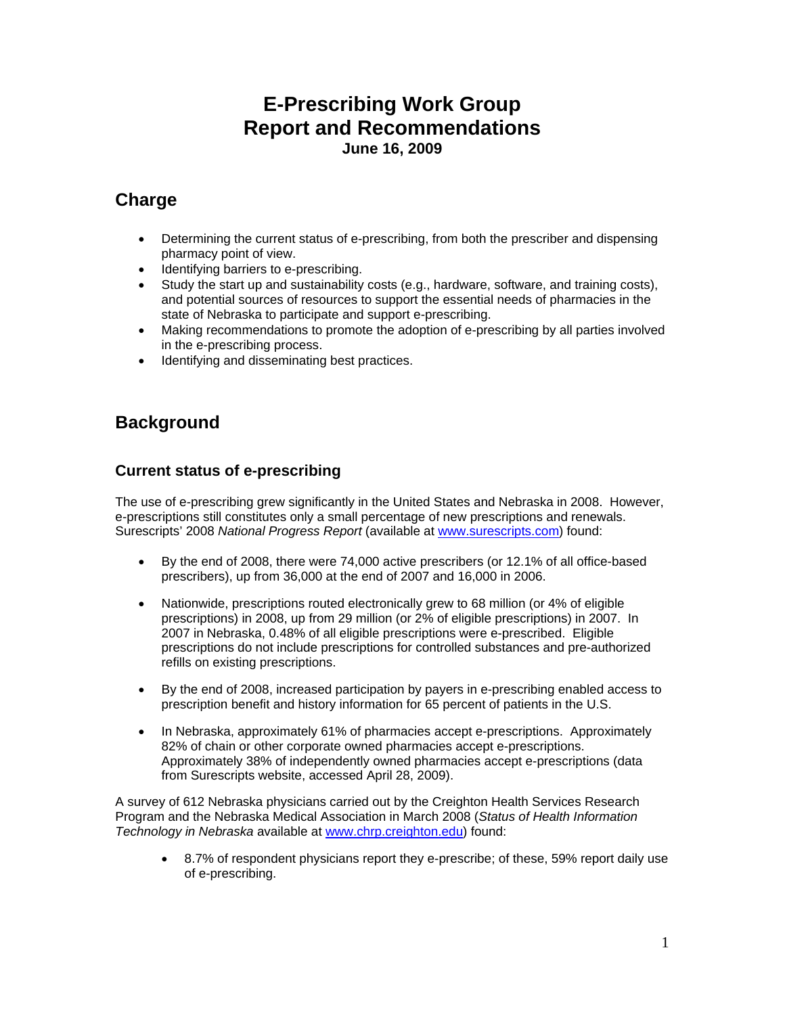# **E-Prescribing Work Group Report and Recommendations June 16, 2009**

# **Charge**

- Determining the current status of e-prescribing, from both the prescriber and dispensing pharmacy point of view.
- Identifying barriers to e-prescribing.
- Study the start up and sustainability costs (e.g., hardware, software, and training costs), and potential sources of resources to support the essential needs of pharmacies in the state of Nebraska to participate and support e-prescribing.
- Making recommendations to promote the adoption of e-prescribing by all parties involved in the e-prescribing process.
- Identifying and disseminating best practices.

# **Background**

### **Current status of e-prescribing**

The use of e-prescribing grew significantly in the United States and Nebraska in 2008. However, e-prescriptions still constitutes only a small percentage of new prescriptions and renewals. Surescripts' 2008 *National Progress Report* (available at [www.surescripts.com](http://www.surescripts.com/)) found:

- By the end of 2008, there were 74,000 active prescribers (or 12.1% of all office-based prescribers), up from 36,000 at the end of 2007 and 16,000 in 2006.
- Nationwide, prescriptions routed electronically grew to 68 million (or 4% of eligible prescriptions) in 2008, up from 29 million (or 2% of eligible prescriptions) in 2007. In 2007 in Nebraska, 0.48% of all eligible prescriptions were e-prescribed. Eligible prescriptions do not include prescriptions for controlled substances and pre-authorized refills on existing prescriptions.
- By the end of 2008, increased participation by payers in e-prescribing enabled access to prescription benefit and history information for 65 percent of patients in the U.S.
- In Nebraska, approximately 61% of pharmacies accept e-prescriptions. Approximately 82% of chain or other corporate owned pharmacies accept e-prescriptions. Approximately 38% of independently owned pharmacies accept e-prescriptions (data from Surescripts website, accessed April 28, 2009).

A survey of 612 Nebraska physicians carried out by the Creighton Health Services Research Program and the Nebraska Medical Association in March 2008 (*Status of Health Information Technology in Nebraska* available at [www.chrp.creighton.edu](http://www.chrp.creighton.edu/)) found:

• 8.7% of respondent physicians report they e-prescribe; of these, 59% report daily use of e-prescribing.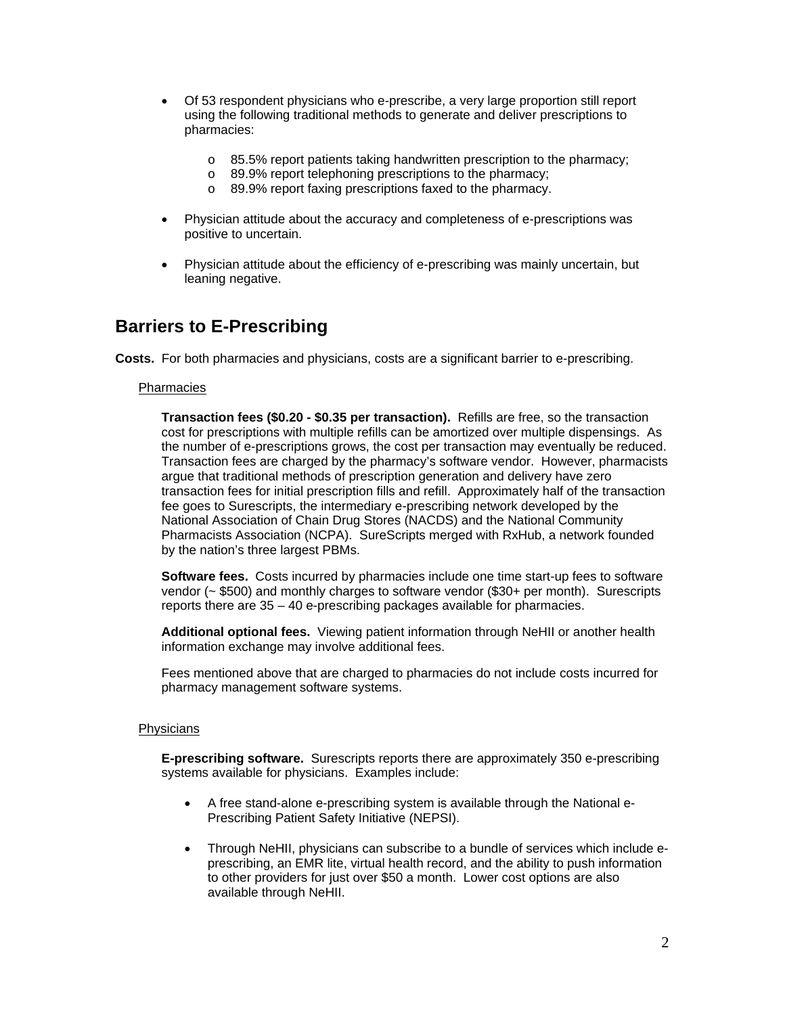- Of 53 respondent physicians who e-prescribe, a very large proportion still report using the following traditional methods to generate and deliver prescriptions to pharmacies:
	- o 85.5% report patients taking handwritten prescription to the pharmacy;
	- o 89.9% report telephoning prescriptions to the pharmacy;
	- o 89.9% report faxing prescriptions faxed to the pharmacy.
- Physician attitude about the accuracy and completeness of e-prescriptions was positive to uncertain.
- Physician attitude about the efficiency of e-prescribing was mainly uncertain, but leaning negative.

### **Barriers to E-Prescribing**

**Costs.** For both pharmacies and physicians, costs are a significant barrier to e-prescribing.

#### **Pharmacies**

**Transaction fees (\$0.20 - \$0.35 per transaction).** Refills are free, so the transaction cost for prescriptions with multiple refills can be amortized over multiple dispensings. As the number of e-prescriptions grows, the cost per transaction may eventually be reduced. Transaction fees are charged by the pharmacy's software vendor. However, pharmacists argue that traditional methods of prescription generation and delivery have zero transaction fees for initial prescription fills and refill. Approximately half of the transaction fee goes to Surescripts, the intermediary e-prescribing network developed by the National Association of Chain Drug Stores (NACDS) and the National Community Pharmacists Association (NCPA). SureScripts merged with RxHub, a network founded by the nation's three largest PBMs.

**Software fees.** Costs incurred by pharmacies include one time start-up fees to software vendor (~ \$500) and monthly charges to software vendor (\$30+ per month). Surescripts reports there are 35 – 40 e-prescribing packages available for pharmacies.

**Additional optional fees.** Viewing patient information through NeHII or another health information exchange may involve additional fees.

Fees mentioned above that are charged to pharmacies do not include costs incurred for pharmacy management software systems.

#### **Physicians**

**E-prescribing software.** Surescripts reports there are approximately 350 e-prescribing systems available for physicians. Examples include:

- A free stand-alone e-prescribing system is available through the National e-Prescribing Patient Safety Initiative (NEPSI).
- Through NeHII, physicians can subscribe to a bundle of services which include eprescribing, an EMR lite, virtual health record, and the ability to push information to other providers for just over \$50 a month. Lower cost options are also available through NeHII.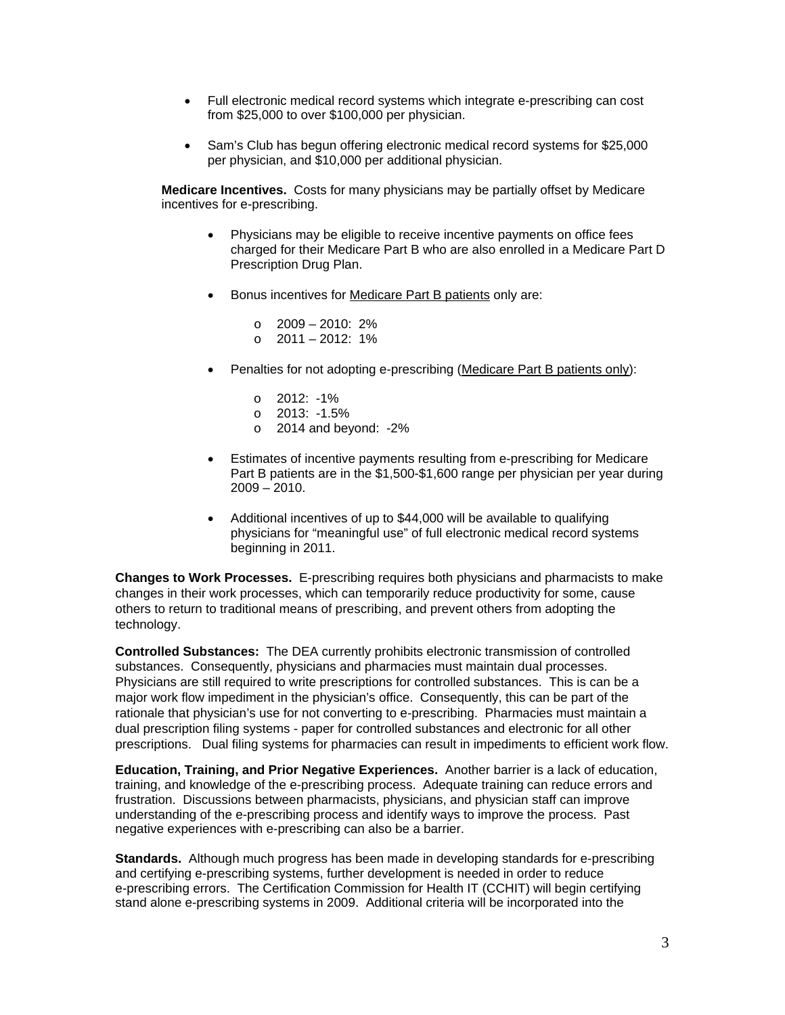- Full electronic medical record systems which integrate e-prescribing can cost from \$25,000 to over \$100,000 per physician.
- Sam's Club has begun offering electronic medical record systems for \$25,000 per physician, and \$10,000 per additional physician.

**Medicare Incentives.** Costs for many physicians may be partially offset by Medicare incentives for e-prescribing.

- Physicians may be eligible to receive incentive payments on office fees charged for their Medicare Part B who are also enrolled in a Medicare Part D Prescription Drug Plan.
- Bonus incentives for Medicare Part B patients only are:

 $\circ$  2009 – 2010: 2%  $\circ$  2011 – 2012: 1%

- Penalties for not adopting e-prescribing (Medicare Part B patients only):
	- o 2012: -1%
	- o 2013: -1.5%
	- o 2014 and beyond: -2%
- Estimates of incentive payments resulting from e-prescribing for Medicare Part B patients are in the \$1,500-\$1,600 range per physician per year during  $2009 - 2010.$
- Additional incentives of up to \$44,000 will be available to qualifying physicians for "meaningful use" of full electronic medical record systems beginning in 2011.

**Changes to Work Processes.** E-prescribing requires both physicians and pharmacists to make changes in their work processes, which can temporarily reduce productivity for some, cause others to return to traditional means of prescribing, and prevent others from adopting the technology.

**Controlled Substances:** The DEA currently prohibits electronic transmission of controlled substances. Consequently, physicians and pharmacies must maintain dual processes. Physicians are still required to write prescriptions for controlled substances. This is can be a major work flow impediment in the physician's office. Consequently, this can be part of the rationale that physician's use for not converting to e-prescribing. Pharmacies must maintain a dual prescription filing systems - paper for controlled substances and electronic for all other prescriptions. Dual filing systems for pharmacies can result in impediments to efficient work flow.

**Education, Training, and Prior Negative Experiences.** Another barrier is a lack of education, training, and knowledge of the e-prescribing process. Adequate training can reduce errors and frustration. Discussions between pharmacists, physicians, and physician staff can improve understanding of the e-prescribing process and identify ways to improve the process. Past negative experiences with e-prescribing can also be a barrier.

**Standards.** Although much progress has been made in developing standards for e-prescribing and certifying e-prescribing systems, further development is needed in order to reduce e-prescribing errors. The Certification Commission for Health IT (CCHIT) will begin certifying stand alone e-prescribing systems in 2009. Additional criteria will be incorporated into the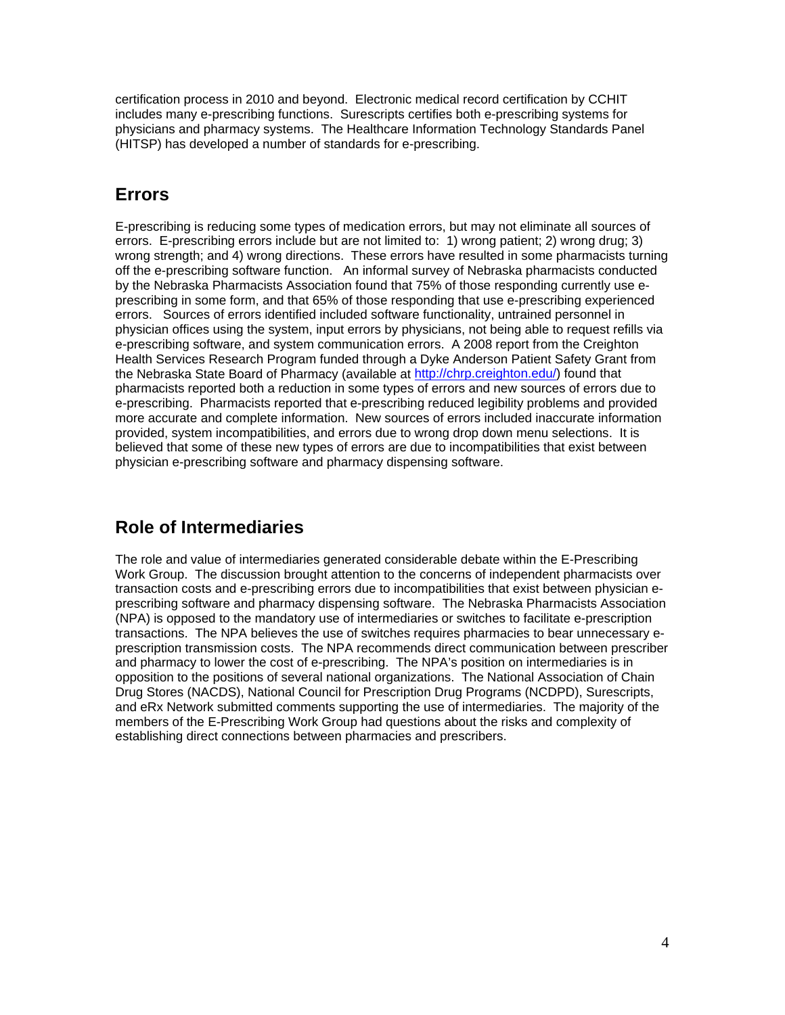certification process in 2010 and beyond. Electronic medical record certification by CCHIT includes many e-prescribing functions. Surescripts certifies both e-prescribing systems for physicians and pharmacy systems. The Healthcare Information Technology Standards Panel (HITSP) has developed a number of standards for e-prescribing.

# **Errors**

E-prescribing is reducing some types of medication errors, but may not eliminate all sources of errors. E-prescribing errors include but are not limited to: 1) wrong patient; 2) wrong drug; 3) wrong strength; and 4) wrong directions. These errors have resulted in some pharmacists turning off the e-prescribing software function. An informal survey of Nebraska pharmacists conducted by the Nebraska Pharmacists Association found that 75% of those responding currently use eprescribing in some form, and that 65% of those responding that use e-prescribing experienced errors. Sources of errors identified included software functionality, untrained personnel in physician offices using the system, input errors by physicians, not being able to request refills via e-prescribing software, and system communication errors. A 2008 report from the Creighton Health Services Research Program funded through a Dyke Anderson Patient Safety Grant from the Nebraska State Board of Pharmacy (available at<http://chrp.creighton.edu/>) found that pharmacists reported both a reduction in some types of errors and new sources of errors due to e-prescribing. Pharmacists reported that e-prescribing reduced legibility problems and provided more accurate and complete information. New sources of errors included inaccurate information provided, system incompatibilities, and errors due to wrong drop down menu selections. It is believed that some of these new types of errors are due to incompatibilities that exist between physician e-prescribing software and pharmacy dispensing software.

## **Role of Intermediaries**

The role and value of intermediaries generated considerable debate within the E-Prescribing Work Group. The discussion brought attention to the concerns of independent pharmacists over transaction costs and e-prescribing errors due to incompatibilities that exist between physician eprescribing software and pharmacy dispensing software. The Nebraska Pharmacists Association (NPA) is opposed to the mandatory use of intermediaries or switches to facilitate e-prescription transactions. The NPA believes the use of switches requires pharmacies to bear unnecessary eprescription transmission costs. The NPA recommends direct communication between prescriber and pharmacy to lower the cost of e-prescribing. The NPA's position on intermediaries is in opposition to the positions of several national organizations. The National Association of Chain Drug Stores (NACDS), National Council for Prescription Drug Programs (NCDPD), Surescripts, and eRx Network submitted comments supporting the use of intermediaries. The majority of the members of the E-Prescribing Work Group had questions about the risks and complexity of establishing direct connections between pharmacies and prescribers.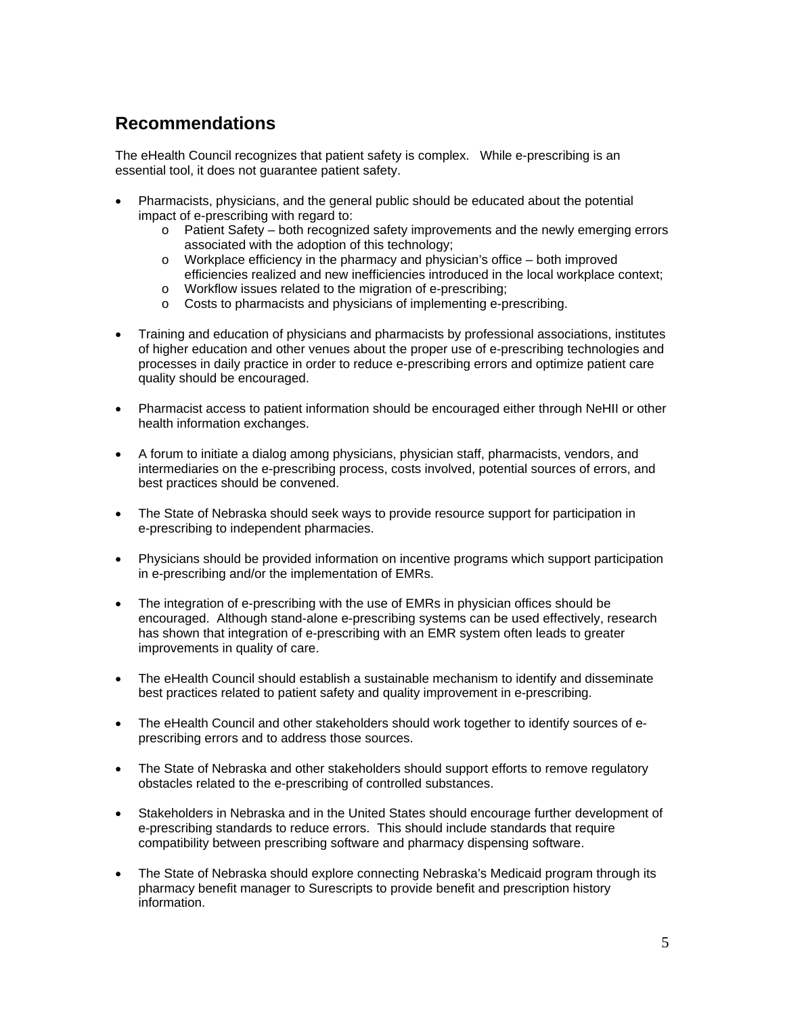# **Recommendations**

The eHealth Council recognizes that patient safety is complex. While e-prescribing is an essential tool, it does not guarantee patient safety.

- Pharmacists, physicians, and the general public should be educated about the potential impact of e-prescribing with regard to:
	- o Patient Safety both recognized safety improvements and the newly emerging errors associated with the adoption of this technology;
	- $\circ$  Workplace efficiency in the pharmacy and physician's office both improved efficiencies realized and new inefficiencies introduced in the local workplace context;
	- o Workflow issues related to the migration of e-prescribing;
	- o Costs to pharmacists and physicians of implementing e-prescribing.
- Training and education of physicians and pharmacists by professional associations, institutes of higher education and other venues about the proper use of e-prescribing technologies and processes in daily practice in order to reduce e-prescribing errors and optimize patient care quality should be encouraged.
- Pharmacist access to patient information should be encouraged either through NeHII or other health information exchanges.
- A forum to initiate a dialog among physicians, physician staff, pharmacists, vendors, and intermediaries on the e-prescribing process, costs involved, potential sources of errors, and best practices should be convened.
- The State of Nebraska should seek ways to provide resource support for participation in e-prescribing to independent pharmacies.
- Physicians should be provided information on incentive programs which support participation in e-prescribing and/or the implementation of EMRs.
- The integration of e-prescribing with the use of EMRs in physician offices should be encouraged. Although stand-alone e-prescribing systems can be used effectively, research has shown that integration of e-prescribing with an EMR system often leads to greater improvements in quality of care.
- The eHealth Council should establish a sustainable mechanism to identify and disseminate best practices related to patient safety and quality improvement in e-prescribing.
- The eHealth Council and other stakeholders should work together to identify sources of eprescribing errors and to address those sources.
- The State of Nebraska and other stakeholders should support efforts to remove regulatory obstacles related to the e-prescribing of controlled substances.
- Stakeholders in Nebraska and in the United States should encourage further development of e-prescribing standards to reduce errors. This should include standards that require compatibility between prescribing software and pharmacy dispensing software.
- The State of Nebraska should explore connecting Nebraska's Medicaid program through its pharmacy benefit manager to Surescripts to provide benefit and prescription history information.